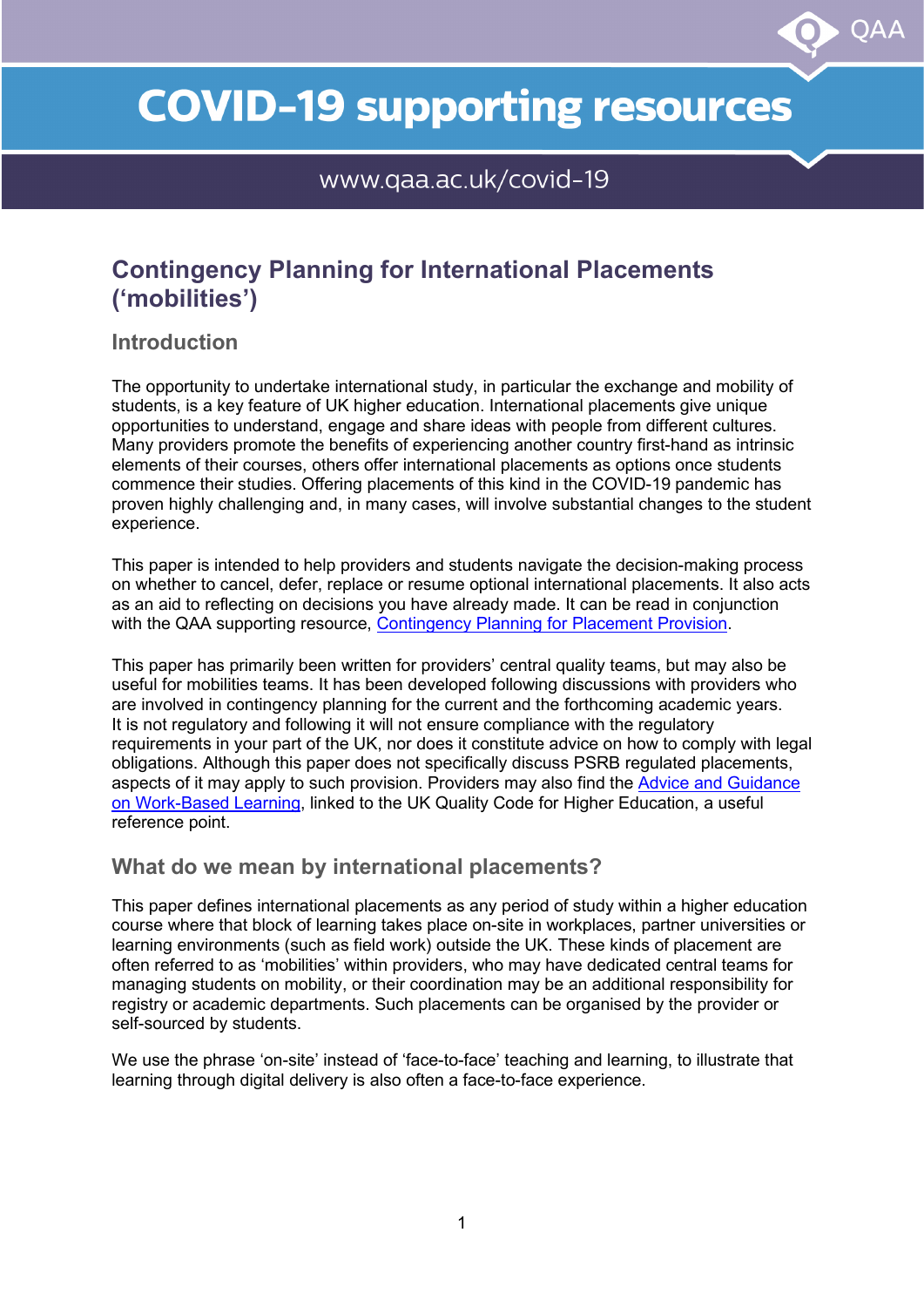# **COVID-19 supporting resources**

OAA

www.qaa.ac.uk/covid-19

## **Contingency Planning for International Placements ('mobilities')**

#### **Introduction**

The opportunity to undertake international study, in particular the exchange and mobility of students, is a key feature of UK higher education. International placements give unique opportunities to understand, engage and share ideas with people from different cultures. Many providers promote the benefits of experiencing another country first-hand as intrinsic elements of their courses, others offer international placements as options once students commence their studies. Offering placements of this kind in the COVID-19 pandemic has proven highly challenging and, in many cases, will involve substantial changes to the student experience.

This paper is intended to help providers and students navigate the decision-making process on whether to cancel, defer, replace or resume optional international placements. It also acts as an aid to reflecting on decisions you have already made. It can be read in conjunction with the QAA supporting resource, [Contingency Planning for Placement Provision.](http://www.qaa.ac.uk/docs/qaa/guidance/contingency-planning-for-placement-provision.pdf)

This paper has primarily been written for providers' central quality teams, but may also be useful for mobilities teams. It has been developed following discussions with providers who are involved in contingency planning for the current and the forthcoming academic years. It is not regulatory and following it will not ensure compliance with the regulatory requirements in your part of the UK, nor does it constitute advice on how to comply with legal obligations. Although this paper does not specifically discuss PSRB regulated placements, aspects of it may apply to such provision. Providers may also find the [Advice and Guidance](https://www.qaa.ac.uk/en/quality-code/advice-and-guidance/work-based-learning)  [on Work-Based Learning,](https://www.qaa.ac.uk/en/quality-code/advice-and-guidance/work-based-learning) linked to the UK Quality Code for Higher Education, a useful reference point.

#### **What do we mean by international placements?**

This paper defines international placements as any period of study within a higher education course where that block of learning takes place on-site in workplaces, partner universities or learning environments (such as field work) outside the UK. These kinds of placement are often referred to as 'mobilities' within providers, who may have dedicated central teams for managing students on mobility, or their coordination may be an additional responsibility for registry or academic departments. Such placements can be organised by the provider or self-sourced by students.

We use the phrase 'on-site' instead of 'face-to-face' teaching and learning, to illustrate that learning through digital delivery is also often a face-to-face experience.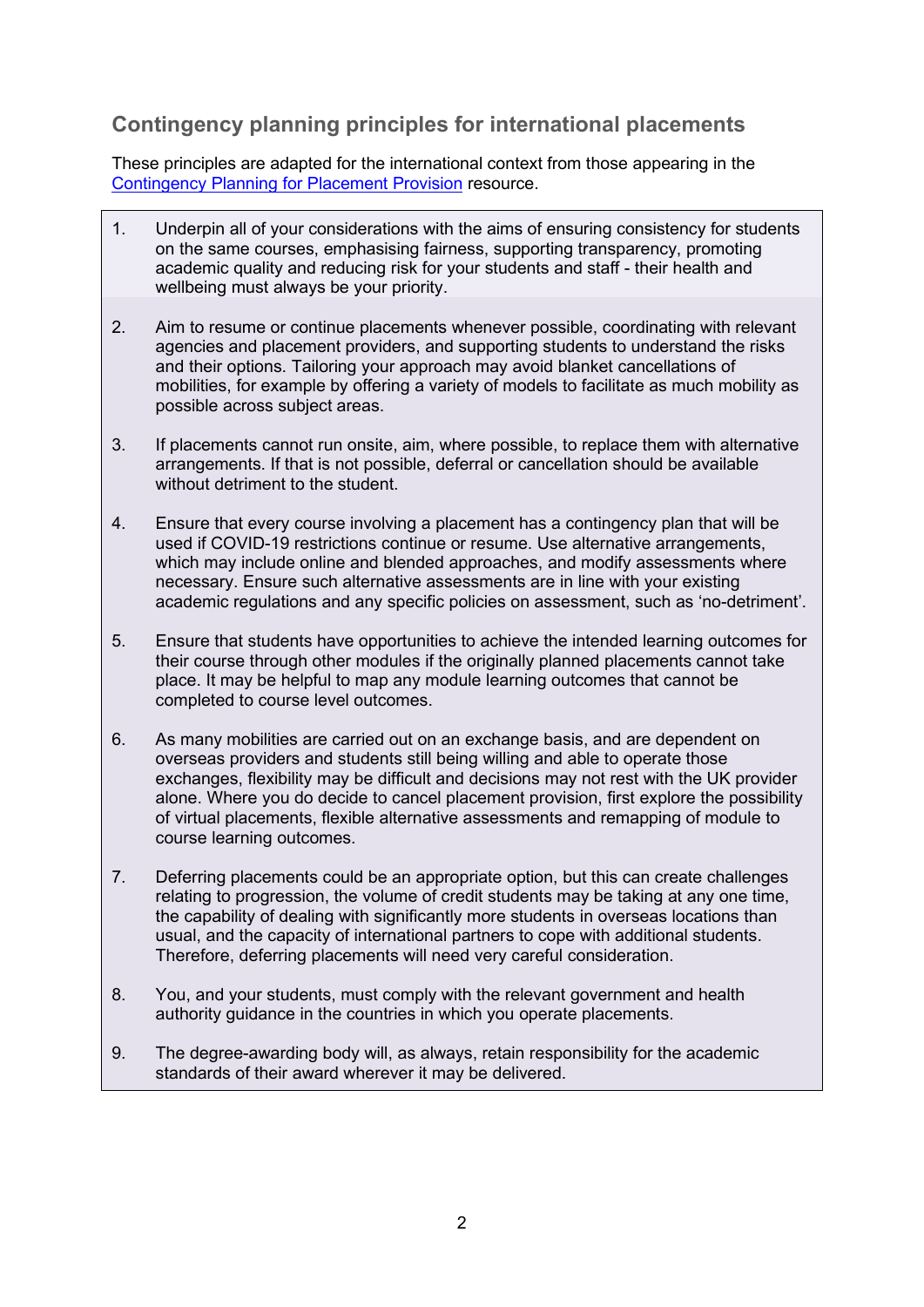## **Contingency planning principles for international placements**

These principles are adapted for the international context from those appearing in the [Contingency Planning for Placement](http://www.qaa.ac.uk/docs/qaa/guidance/contingency-planning-for-placement-provision.pdf) Provision resource.

- 1. Underpin all of your considerations with the aims of ensuring consistency for students on the same courses, emphasising fairness, supporting transparency, promoting academic quality and reducing risk for your students and staff - their health and wellbeing must always be your priority.
- 2. Aim to resume or continue placements whenever possible, coordinating with relevant agencies and placement providers, and supporting students to understand the risks and their options. Tailoring your approach may avoid blanket cancellations of mobilities, for example by offering a variety of models to facilitate as much mobility as possible across subject areas.
- 3. If placements cannot run onsite, aim, where possible, to replace them with alternative arrangements. If that is not possible, deferral or cancellation should be available without detriment to the student.
- 4. Ensure that every course involving a placement has a contingency plan that will be used if COVID-19 restrictions continue or resume. Use alternative arrangements, which may include online and blended approaches, and modify assessments where necessary. Ensure such alternative assessments are in line with your existing academic regulations and any specific policies on assessment, such as 'no-detriment'.
- 5. Ensure that students have opportunities to achieve the intended learning outcomes for their course through other modules if the originally planned placements cannot take place. It may be helpful to map any module learning outcomes that cannot be completed to course level outcomes.
- 6. As many mobilities are carried out on an exchange basis, and are dependent on overseas providers and students still being willing and able to operate those exchanges, flexibility may be difficult and decisions may not rest with the UK provider alone. Where you do decide to cancel placement provision, first explore the possibility of virtual placements, flexible alternative assessments and remapping of module to course learning outcomes.
- 7. Deferring placements could be an appropriate option, but this can create challenges relating to progression, the volume of credit students may be taking at any one time, the capability of dealing with significantly more students in overseas locations than usual, and the capacity of international partners to cope with additional students. Therefore, deferring placements will need very careful consideration.
- 8. You, and your students, must comply with the relevant government and health authority guidance in the countries in which you operate placements.
- 9. The degree-awarding body will, as always, retain responsibility for the academic standards of their award wherever it may be delivered.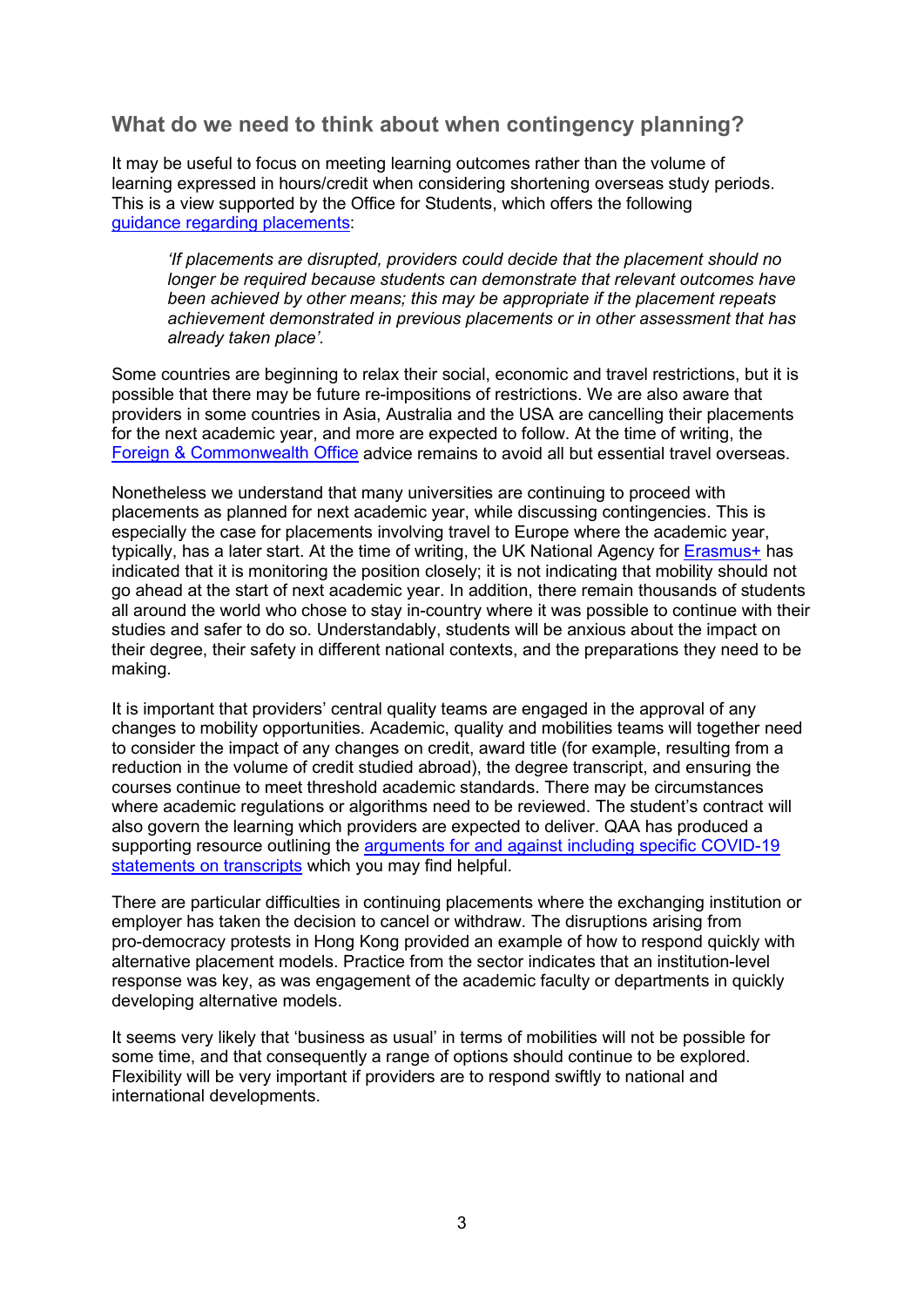#### **What do we need to think about when contingency planning?**

It may be useful to focus on meeting learning outcomes rather than the volume of learning expressed in hours/credit when considering shortening overseas study periods. This is a view supported by the Office for Students, which offers the following [guidance regarding](https://www.officeforstudents.org.uk/media/f351a739-6cd6-4310-8f98-a6aa603f17f4/quality-and-standards-guidance-during-coronavirus.pdf) placements:

*'If placements are disrupted, providers could decide that the placement should no longer be required because students can demonstrate that relevant outcomes have been achieved by other means; this may be appropriate if the placement repeats achievement demonstrated in previous placements or in other assessment that has already taken place'.*

Some countries are beginning to relax their social, economic and travel restrictions, but it is possible that there may be future re-impositions of restrictions. We are also aware that providers in some countries in Asia, Australia and the USA are cancelling their placements for the next academic year, and more are expected to follow. At the time of writing, the Foreign & [Commonwealth Office](https://www.gov.uk/guidance/travel-advice-novel-coronavirus) advice remains to avoid all but essential travel overseas.

Nonetheless we understand that many universities are continuing to proceed with placements as planned for next academic year, while discussing contingencies. This is especially the case for placements involving travel to Europe where the academic year, typically, has a later start. At the time of writing, the UK National Agency for [Erasmus+](https://www.erasmusplus.org.uk/news/advice-about-erasmus-in-relation-to-coronavirus) has indicated that it is monitoring the position closely; it is not indicating that mobility should not go ahead at the start of next academic year. In addition, there remain thousands of students all around the world who chose to stay in-country where it was possible to continue with their studies and safer to do so. Understandably, students will be anxious about the impact on their degree, their safety in different national contexts, and the preparations they need to be making.

It is important that providers' central quality teams are engaged in the approval of any changes to mobility opportunities. Academic, quality and mobilities teams will together need to consider the impact of any changes on credit, award title (for example, resulting from a reduction in the volume of credit studied abroad), the degree transcript, and ensuring the courses continue to meet threshold academic standards. There may be circumstances where academic regulations or algorithms need to be reviewed. The student's contract will also govern the learning which providers are expected to deliver. QAA has produced a supporting resource outlining the [arguments for and against including specific COVID-19](https://www.qaa.ac.uk/docs/qaa/guidance/covid-19-statement-on-degree-transcripts.pdf)  [statements on transcripts](https://www.qaa.ac.uk/docs/qaa/guidance/covid-19-statement-on-degree-transcripts.pdf) which you may find helpful.

There are particular difficulties in continuing placements where the exchanging institution or employer has taken the decision to cancel or withdraw. The disruptions arising from pro-democracy protests in Hong Kong provided an example of how to respond quickly with alternative placement models. Practice from the sector indicates that an institution-level response was key, as was engagement of the academic faculty or departments in quickly developing alternative models.

It seems very likely that 'business as usual' in terms of mobilities will not be possible for some time, and that consequently a range of options should continue to be explored. Flexibility will be very important if providers are to respond swiftly to national and international developments.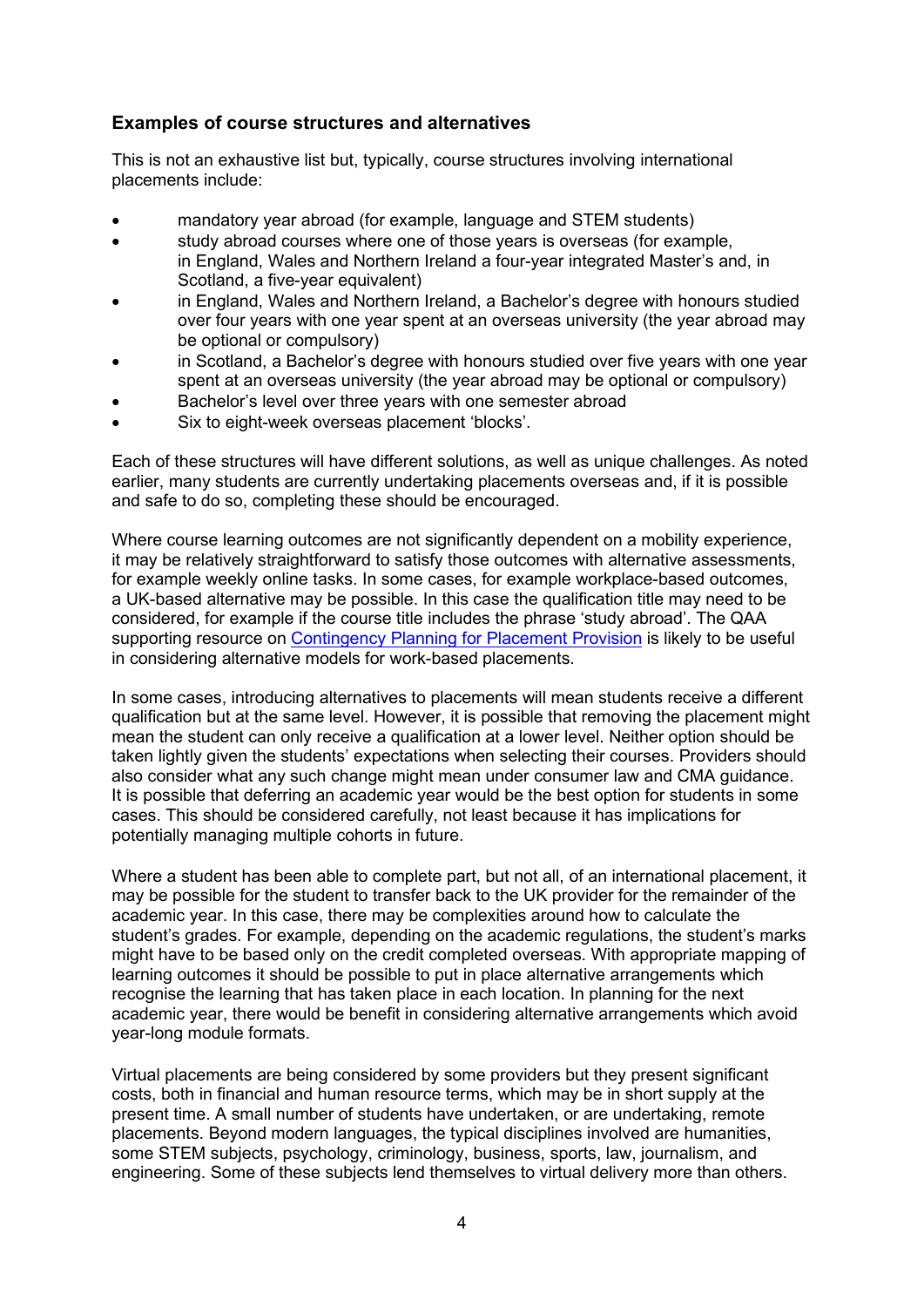#### **Examples of course structures and alternatives**

This is not an exhaustive list but, typically, course structures involving international placements include:

- mandatory year abroad (for example, language and STEM students)
- study abroad courses where one of those years is overseas (for example, in England, Wales and Northern Ireland a four-year integrated Master's and, in Scotland, a five-year equivalent)
- in England, Wales and Northern Ireland, a Bachelor's degree with honours studied over four years with one year spent at an overseas university (the year abroad may be optional or compulsory)
- in Scotland, a Bachelor's degree with honours studied over five years with one year spent at an overseas university (the year abroad may be optional or compulsory)
- Bachelor's level over three years with one semester abroad
- Six to eight-week overseas placement 'blocks'.

Each of these structures will have different solutions, as well as unique challenges. As noted earlier, many students are currently undertaking placements overseas and, if it is possible and safe to do so, completing these should be encouraged.

Where course learning outcomes are not significantly dependent on a mobility experience, it may be relatively straightforward to satisfy those outcomes with alternative assessments, for example weekly online tasks. In some cases, for example workplace-based outcomes, a UK-based alternative may be possible. In this case the qualification title may need to be considered, for example if the course title includes the phrase 'study abroad'. The QAA supporting resource on [Contingency Planning for Placement](http://www.qaa.ac.uk/docs/qaa/guidance/contingency-planning-for-placement-provision.pdf) Provision is likely to be useful in considering alternative models for work-based placements.

In some cases, introducing alternatives to placements will mean students receive a different qualification but at the same level. However, it is possible that removing the placement might mean the student can only receive a qualification at a lower level. Neither option should be taken lightly given the students' expectations when selecting their courses. Providers should also consider what any such change might mean under consumer law and CMA guidance. It is possible that deferring an academic year would be the best option for students in some cases. This should be considered carefully, not least because it has implications for potentially managing multiple cohorts in future.

Where a student has been able to complete part, but not all, of an international placement, it may be possible for the student to transfer back to the UK provider for the remainder of the academic year. In this case, there may be complexities around how to calculate the student's grades. For example, depending on the academic regulations, the student's marks might have to be based only on the credit completed overseas. With appropriate mapping of learning outcomes it should be possible to put in place alternative arrangements which recognise the learning that has taken place in each location. In planning for the next academic year, there would be benefit in considering alternative arrangements which avoid year-long module formats.

Virtual placements are being considered by some providers but they present significant costs, both in financial and human resource terms, which may be in short supply at the present time. A small number of students have undertaken, or are undertaking, remote placements. Beyond modern languages, the typical disciplines involved are humanities, some STEM subjects, psychology, criminology, business, sports, law, journalism, and engineering. Some of these subjects lend themselves to virtual delivery more than others.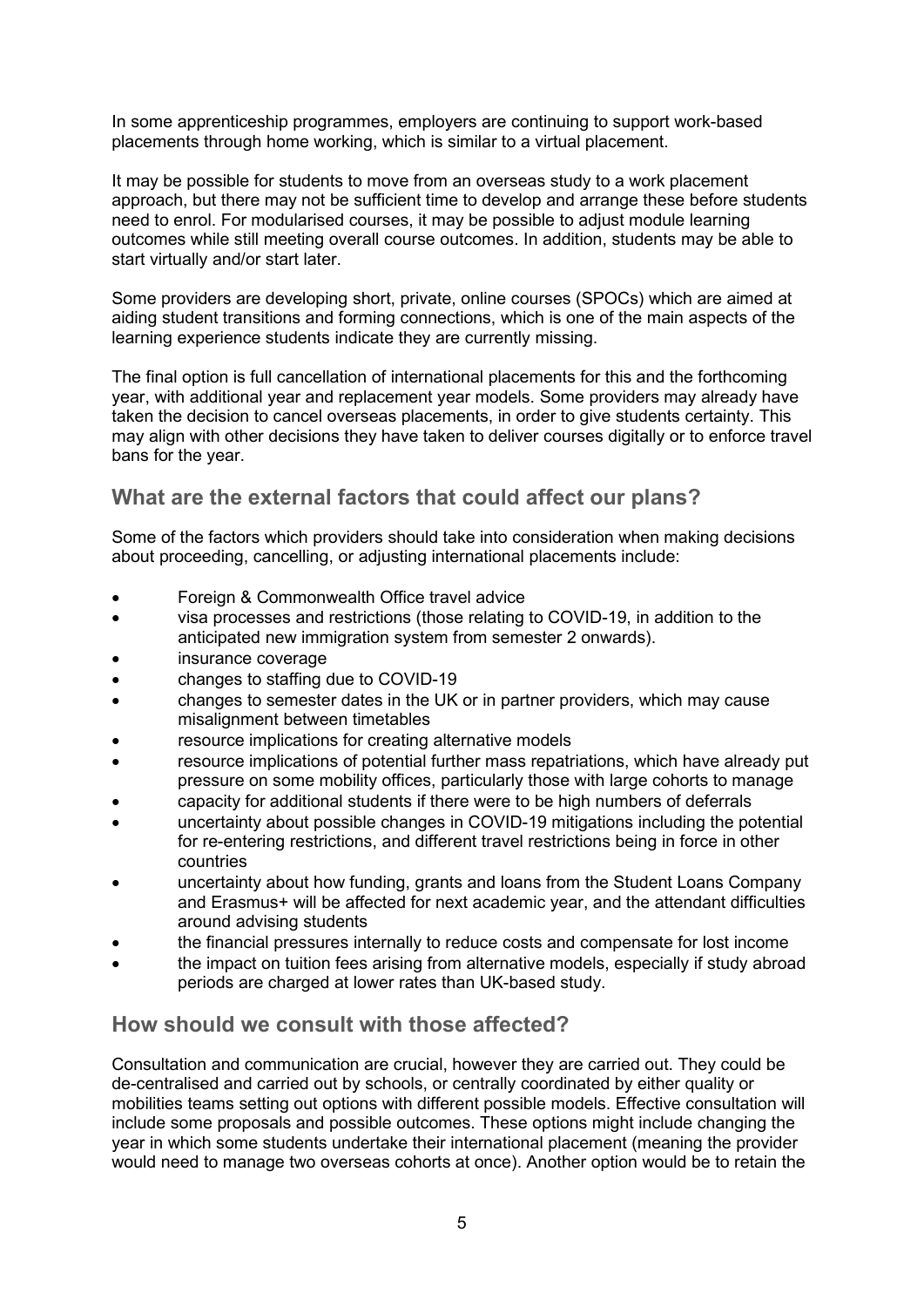In some apprenticeship programmes, employers are continuing to support work-based placements through home working, which is similar to a virtual placement.

It may be possible for students to move from an overseas study to a work placement approach, but there may not be sufficient time to develop and arrange these before students need to enrol. For modularised courses, it may be possible to adjust module learning outcomes while still meeting overall course outcomes. In addition, students may be able to start virtually and/or start later.

Some providers are developing short, private, online courses (SPOCs) which are aimed at aiding student transitions and forming connections, which is one of the main aspects of the learning experience students indicate they are currently missing.

The final option is full cancellation of international placements for this and the forthcoming year, with additional year and replacement year models. Some providers may already have taken the decision to cancel overseas placements, in order to give students certainty. This may align with other decisions they have taken to deliver courses digitally or to enforce travel bans for the year.

## **What are the external factors that could affect our plans?**

Some of the factors which providers should take into consideration when making decisions about proceeding, cancelling, or adjusting international placements include:

- Foreign & Commonwealth Office travel advice
- visa processes and restrictions (those relating to COVID-19, in addition to the anticipated new immigration system from semester 2 onwards).
- insurance coverage
- changes to staffing due to COVID-19
- changes to semester dates in the UK or in partner providers, which may cause misalignment between timetables
- resource implications for creating alternative models
- resource implications of potential further mass repatriations, which have already put pressure on some mobility offices, particularly those with large cohorts to manage
- capacity for additional students if there were to be high numbers of deferrals
- uncertainty about possible changes in COVID-19 mitigations including the potential for re-entering restrictions, and different travel restrictions being in force in other countries
- uncertainty about how funding, grants and loans from the Student Loans Company and Erasmus+ will be affected for next academic year, and the attendant difficulties around advising students
- the financial pressures internally to reduce costs and compensate for lost income
- the impact on tuition fees arising from alternative models, especially if study abroad periods are charged at lower rates than UK-based study.

#### **How should we consult with those affected?**

Consultation and communication are crucial, however they are carried out. They could be de-centralised and carried out by schools, or centrally coordinated by either quality or mobilities teams setting out options with different possible models. Effective consultation will include some proposals and possible outcomes. These options might include changing the year in which some students undertake their international placement (meaning the provider would need to manage two overseas cohorts at once). Another option would be to retain the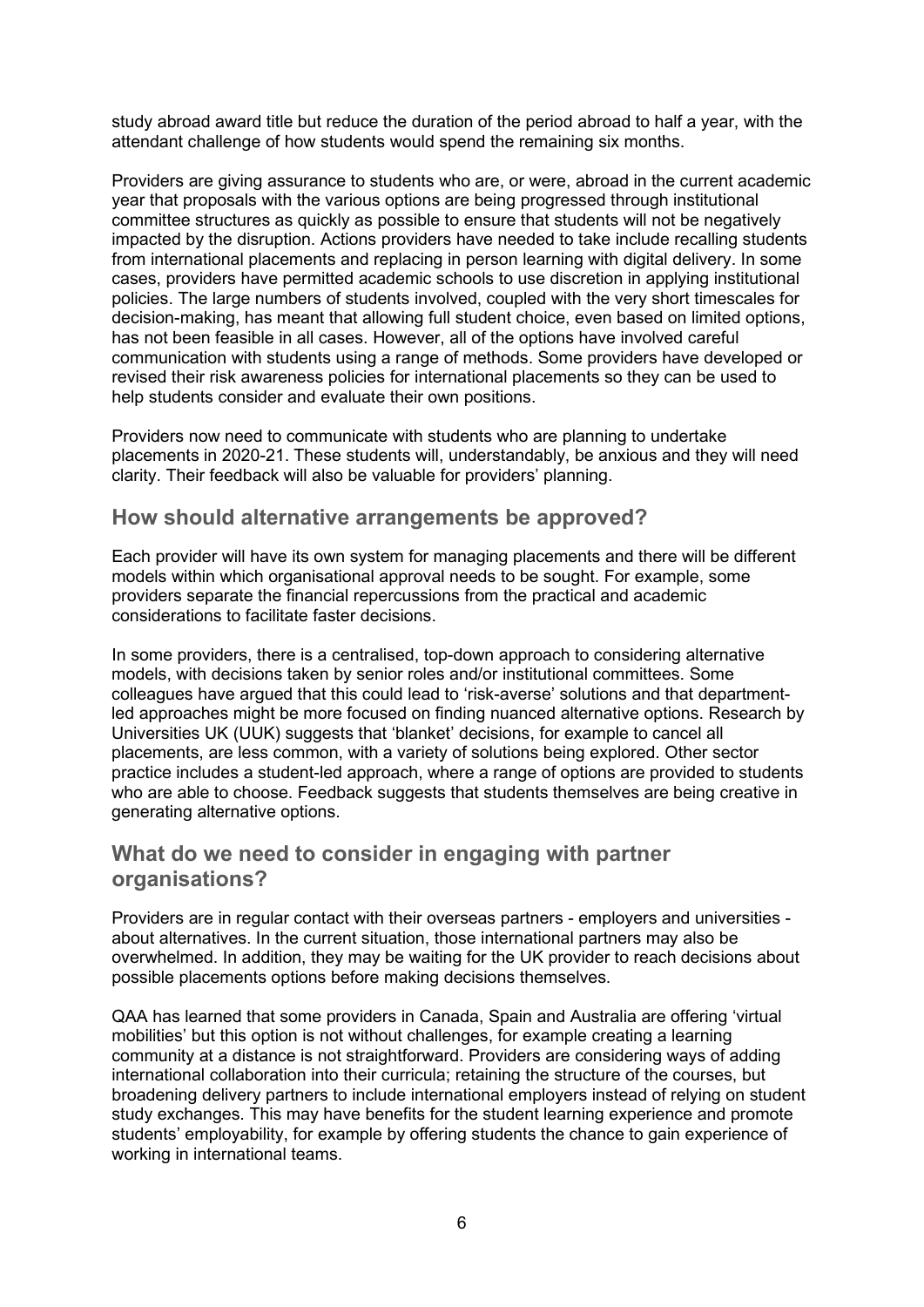study abroad award title but reduce the duration of the period abroad to half a year, with the attendant challenge of how students would spend the remaining six months.

Providers are giving assurance to students who are, or were, abroad in the current academic year that proposals with the various options are being progressed through institutional committee structures as quickly as possible to ensure that students will not be negatively impacted by the disruption. Actions providers have needed to take include recalling students from international placements and replacing in person learning with digital delivery. In some cases, providers have permitted academic schools to use discretion in applying institutional policies. The large numbers of students involved, coupled with the very short timescales for decision-making, has meant that allowing full student choice, even based on limited options, has not been feasible in all cases. However, all of the options have involved careful communication with students using a range of methods. Some providers have developed or revised their risk awareness policies for international placements so they can be used to help students consider and evaluate their own positions.

Providers now need to communicate with students who are planning to undertake placements in 2020-21. These students will, understandably, be anxious and they will need clarity. Their feedback will also be valuable for providers' planning.

#### **How should alternative arrangements be approved?**

Each provider will have its own system for managing placements and there will be different models within which organisational approval needs to be sought. For example, some providers separate the financial repercussions from the practical and academic considerations to facilitate faster decisions.

In some providers, there is a centralised, top-down approach to considering alternative models, with decisions taken by senior roles and/or institutional committees. Some colleagues have argued that this could lead to 'risk-averse' solutions and that departmentled approaches might be more focused on finding nuanced alternative options. Research by Universities UK (UUK) suggests that 'blanket' decisions, for example to cancel all placements, are less common, with a variety of solutions being explored. Other sector practice includes a student-led approach, where a range of options are provided to students who are able to choose. Feedback suggests that students themselves are being creative in generating alternative options.

#### **What do we need to consider in engaging with partner organisations?**

Providers are in regular contact with their overseas partners - employers and universities about alternatives. In the current situation, those international partners may also be overwhelmed. In addition, they may be waiting for the UK provider to reach decisions about possible placements options before making decisions themselves.

QAA has learned that some providers in Canada, Spain and Australia are offering 'virtual mobilities' but this option is not without challenges, for example creating a learning community at a distance is not straightforward. Providers are considering ways of adding international collaboration into their curricula; retaining the structure of the courses, but broadening delivery partners to include international employers instead of relying on student study exchanges. This may have benefits for the student learning experience and promote students' employability, for example by offering students the chance to gain experience of working in international teams.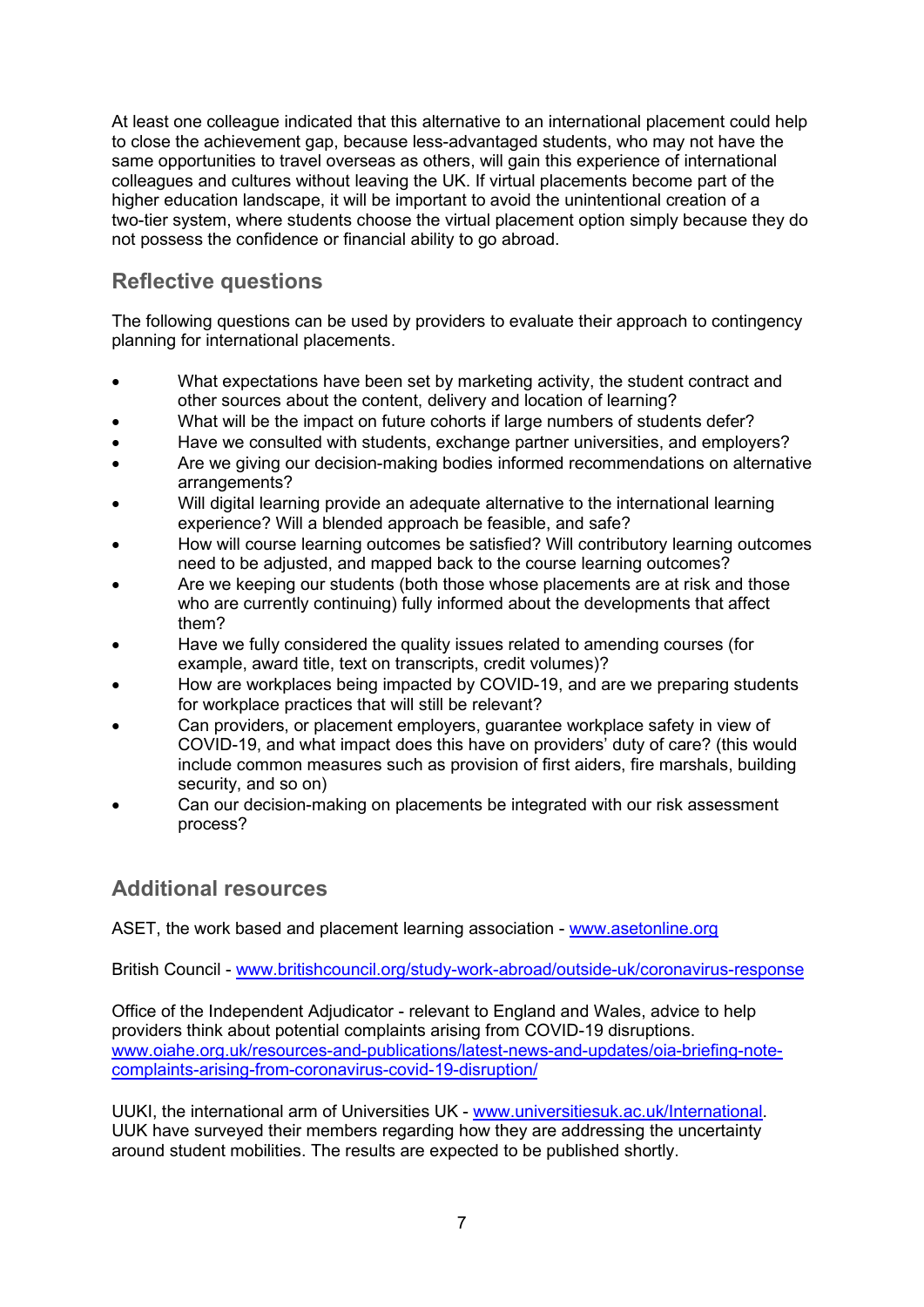At least one colleague indicated that this alternative to an international placement could help to close the achievement gap, because less-advantaged students, who may not have the same opportunities to travel overseas as others, will gain this experience of international colleagues and cultures without leaving the UK. If virtual placements become part of the higher education landscape, it will be important to avoid the unintentional creation of a two-tier system, where students choose the virtual placement option simply because they do not possess the confidence or financial ability to go abroad.

## **Reflective questions**

The following questions can be used by providers to evaluate their approach to contingency planning for international placements.

- What expectations have been set by marketing activity, the student contract and other sources about the content, delivery and location of learning?
- What will be the impact on future cohorts if large numbers of students defer?
- Have we consulted with students, exchange partner universities, and employers?
- Are we giving our decision-making bodies informed recommendations on alternative arrangements?
- Will digital learning provide an adequate alternative to the international learning experience? Will a blended approach be feasible, and safe?
- How will course learning outcomes be satisfied? Will contributory learning outcomes need to be adjusted, and mapped back to the course learning outcomes?
- Are we keeping our students (both those whose placements are at risk and those who are currently continuing) fully informed about the developments that affect them?
- Have we fully considered the quality issues related to amending courses (for example, award title, text on transcripts, credit volumes)?
- How are workplaces being impacted by COVID-19, and are we preparing students for workplace practices that will still be relevant?
- Can providers, or placement employers, guarantee workplace safety in view of COVID-19, and what impact does this have on providers' duty of care? (this would include common measures such as provision of first aiders, fire marshals, building security, and so on)
- Can our decision-making on placements be integrated with our risk assessment process?

## **Additional resources**

ASET, the work based and placement learning association - [www.asetonline.org](http://www.asetonline.org/)

British Council - [www.britishcouncil.org/study-work-abroad/outside-uk/coronavirus-response](http://www.britishcouncil.org/study-work-abroad/outside-uk/coronavirus-response)

Office of the Independent Adjudicator - relevant to England and Wales, advice to help providers think about potential complaints arising from COVID-19 disruptions. [www.oiahe.org.uk/resources-and-publications/latest-news-and-updates/oia-briefing-note](http://www.oiahe.org.uk/resources-and-publications/latest-news-and-updates/oia-briefing-note-complaints-arising-from-coronavirus-covid-19-disruption/)[complaints-arising-from-coronavirus-covid-19-disruption/](http://www.oiahe.org.uk/resources-and-publications/latest-news-and-updates/oia-briefing-note-complaints-arising-from-coronavirus-covid-19-disruption/)

UUKI, the international arm of Universities UK - [www.universitiesuk.ac.uk/International.](http://www.universitiesuk.ac.uk/International) UUK have surveyed their members regarding how they are addressing the uncertainty around student mobilities. The results are expected to be published shortly.